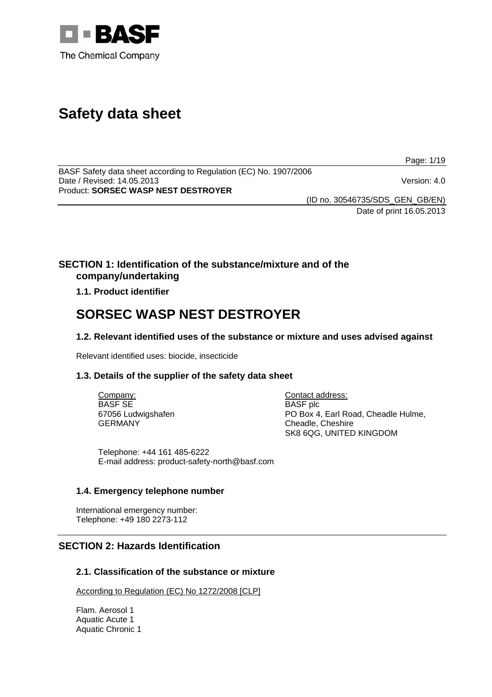

# **Safety data sheet**

Page: 1/19

BASF Safety data sheet according to Regulation (EC) No. 1907/2006 Date / Revised: 14.05.2013 Version: 4.0 Product: **SORSEC WASP NEST DESTROYER** 

(ID no. 30546735/SDS\_GEN\_GB/EN) Date of print 16.05.2013

**SECTION 1: Identification of the substance/mixture and of the company/undertaking**

## **1.1. Product identifier**

## **SORSEC WASP NEST DESTROYER**

## **1.2. Relevant identified uses of the substance or mixture and uses advised against**

Relevant identified uses: biocide, insecticide

## **1.3. Details of the supplier of the safety data sheet**

Company: BASF SE 67056 Ludwigshafen GERMANY

Contact address: BASF plc PO Box 4, Earl Road, Cheadle Hulme, Cheadle, Cheshire SK8 6QG, UNITED KINGDOM

Telephone: +44 161 485-6222 E-mail address: product-safety-north@basf.com

## **1.4. Emergency telephone number**

International emergency number: Telephone: +49 180 2273-112

## **SECTION 2: Hazards Identification**

## **2.1. Classification of the substance or mixture**

According to Regulation (EC) No 1272/2008 [CLP]

Flam. Aerosol 1 Aquatic Acute 1 Aquatic Chronic 1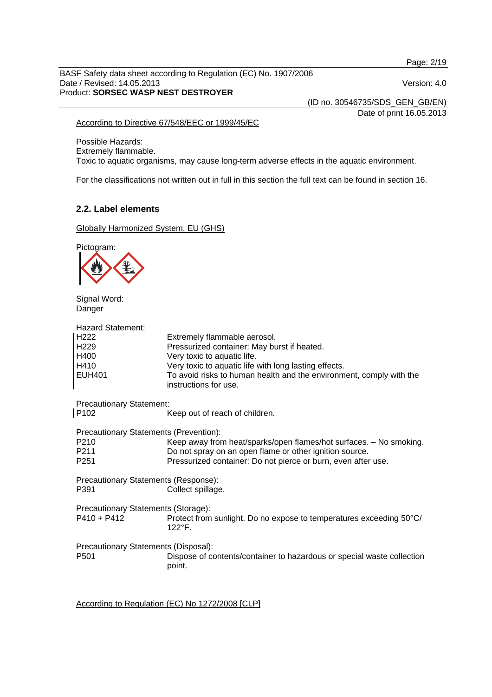Page: 2/19

BASF Safety data sheet according to Regulation (EC) No. 1907/2006 Date / Revised: 14.05.2013 Version: 4.0 Product: **SORSEC WASP NEST DESTROYER** 

(ID no. 30546735/SDS\_GEN\_GB/EN)

Date of print 16.05.2013

#### According to Directive 67/548/EEC or 1999/45/EC

Possible Hazards: Extremely flammable. Toxic to aquatic organisms, may cause long-term adverse effects in the aquatic environment.

For the classifications not written out in full in this section the full text can be found in section 16.

## **2.2. Label elements**

Globally Harmonized System, EU (GHS)

Pictogram:



Signal Word: Danger

| Extremely flammable aerosol.<br>Pressurized container: May burst if heated.<br>Very toxic to aquatic life.<br>Very toxic to aquatic life with long lasting effects.<br>To avoid risks to human health and the environment, comply with the<br>instructions for use. |
|---------------------------------------------------------------------------------------------------------------------------------------------------------------------------------------------------------------------------------------------------------------------|
| <b>Precautionary Statement:</b><br>Keep out of reach of children.                                                                                                                                                                                                   |
| Precautionary Statements (Prevention):<br>Keep away from heat/sparks/open flames/hot surfaces. - No smoking.<br>Do not spray on an open flame or other ignition source.<br>Pressurized container: Do not pierce or burn, even after use.                            |
| Precautionary Statements (Response):<br>Collect spillage.                                                                                                                                                                                                           |
| Precautionary Statements (Storage):<br>Protect from sunlight. Do no expose to temperatures exceeding 50°C/<br>$122^{\circ}$ F.                                                                                                                                      |
| Precautionary Statements (Disposal):<br>Dispose of contents/container to hazardous or special waste collection<br>point.                                                                                                                                            |
|                                                                                                                                                                                                                                                                     |

According to Regulation (EC) No 1272/2008 [CLP]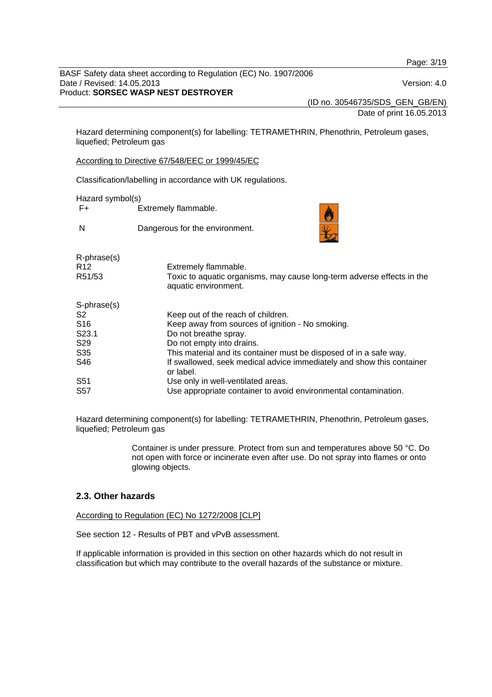Page: 3/19

BASF Safety data sheet according to Regulation (EC) No. 1907/2006 Date / Revised: 14.05.2013 Version: 4.0 Product: **SORSEC WASP NEST DESTROYER** 

(ID no. 30546735/SDS\_GEN\_GB/EN)

Date of print 16.05.2013

Hazard determining component(s) for labelling: TETRAMETHRIN, Phenothrin, Petroleum gases, liquefied; Petroleum gas

According to Directive 67/548/EEC or 1999/45/EC

Classification/labelling in accordance with UK regulations.

Hazard symbol(s)

F+ Extremely flammable.

N Dangerous for the environment.



| $R$ -phrase $(s)$<br>R <sub>12</sub><br>R51/53 | Extremely flammable.<br>Toxic to aquatic organisms, may cause long-term adverse effects in the<br>aquatic environment. |
|------------------------------------------------|------------------------------------------------------------------------------------------------------------------------|
| S-phrase(s)                                    |                                                                                                                        |
| S2                                             | Keep out of the reach of children.                                                                                     |
| S <sub>16</sub>                                | Keep away from sources of ignition - No smoking.                                                                       |
| S <sub>23.1</sub>                              | Do not breathe spray.                                                                                                  |
| S29                                            | Do not empty into drains.                                                                                              |
| S <sub>35</sub>                                | This material and its container must be disposed of in a safe way.                                                     |
| S46                                            | If swallowed, seek medical advice immediately and show this container<br>or label.                                     |
| S <sub>51</sub>                                | Use only in well-ventilated areas.                                                                                     |
| <b>S57</b>                                     | Use appropriate container to avoid environmental contamination.                                                        |

Hazard determining component(s) for labelling: TETRAMETHRIN, Phenothrin, Petroleum gases, liquefied; Petroleum gas

> Container is under pressure. Protect from sun and temperatures above 50 °C. Do not open with force or incinerate even after use. Do not spray into flames or onto glowing objects.

## **2.3. Other hazards**

According to Regulation (EC) No 1272/2008 [CLP]

See section 12 - Results of PBT and vPvB assessment.

If applicable information is provided in this section on other hazards which do not result in classification but which may contribute to the overall hazards of the substance or mixture.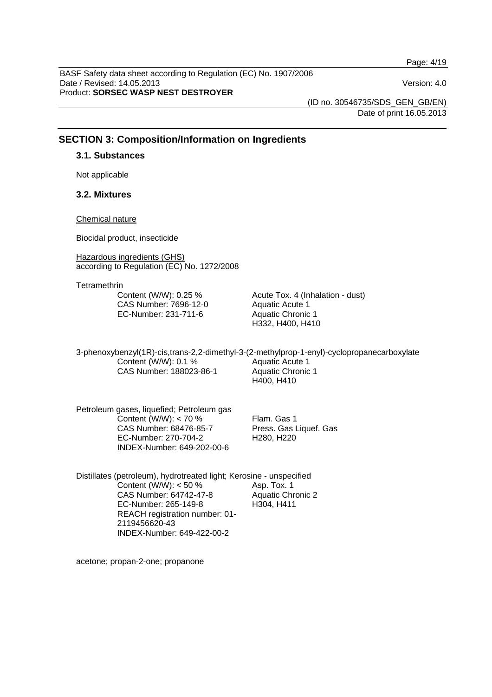Page: 4/19

BASF Safety data sheet according to Regulation (EC) No. 1907/2006 Date / Revised: 14.05.2013 Version: 4.0 Product: **SORSEC WASP NEST DESTROYER** 

(ID no. 30546735/SDS\_GEN\_GB/EN) Date of print 16.05.2013

## **SECTION 3: Composition/Information on Ingredients**

#### **3.1. Substances**

Not applicable

## **3.2. Mixtures**

#### Chemical nature

Biocidal product, insecticide

Hazardous ingredients (GHS) according to Regulation (EC) No. 1272/2008

**Tetramethrin** 

Content (W/W): 0.25 % CAS Number: 7696-12-0 EC-Number: 231-711-6

Acute Tox. 4 (Inhalation - dust) Aquatic Acute 1 Aquatic Chronic 1 H332, H400, H410

3-phenoxybenzyl(1R)-cis,trans-2,2-dimethyl-3-(2-methylprop-1-enyl)-cyclopropanecarboxylate Content (W/W): 0.1 % CAS Number: 188023-86-1 Aquatic Acute 1 Aquatic Chronic 1 H400, H410

Petroleum gases, liquefied; Petroleum gas Content (W/W): < 70 % CAS Number: 68476-85-7 EC-Number: 270-704-2 INDEX-Number: 649-202-00-6

Flam. Gas 1 Press. Gas Liquef. Gas H280, H220

Distillates (petroleum), hydrotreated light; Kerosine - unspecified Content (W/W):  $<$  50 % CAS Number: 64742-47-8 EC-Number: 265-149-8 REACH registration number: 01- 2119456620-43 INDEX-Number: 649-422-00-2 Asp. Tox. 1 Aquatic Chronic 2 H304, H411

acetone; propan-2-one; propanone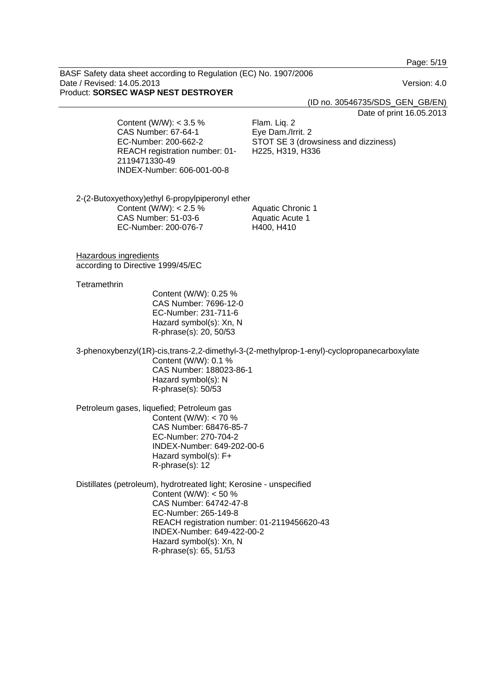Page: 5/19

BASF Safety data sheet according to Regulation (EC) No. 1907/2006 Date / Revised: 14.05.2013 Version: 4.0 Product: **SORSEC WASP NEST DESTROYER** 

(ID no. 30546735/SDS\_GEN\_GB/EN)

Date of print 16.05.2013

Content (W/W): < 3.5 % CAS Number: 67-64-1 EC-Number: 200-662-2 REACH registration number: 01- 2119471330-49 INDEX-Number: 606-001-00-8

Flam. Liq. 2 Eye Dam./Irrit. 2 STOT SE 3 (drowsiness and dizziness) H225, H319, H336

2-(2-Butoxyethoxy)ethyl 6-propylpiperonyl ether Content (W/W): < 2.5 % CAS Number: 51-03-6 EC-Number: 200-076-7 Aquatic Chronic 1 Aquatic Acute 1 H400, H410

Hazardous ingredients according to Directive 1999/45/EC

#### **Tetramethrin**

Content (W/W): 0.25 % CAS Number: 7696-12-0 EC-Number: 231-711-6 Hazard symbol(s): Xn, N R-phrase(s): 20, 50/53

3-phenoxybenzyl(1R)-cis,trans-2,2-dimethyl-3-(2-methylprop-1-enyl)-cyclopropanecarboxylate Content (W/W): 0.1 % CAS Number: 188023-86-1 Hazard symbol(s): N R-phrase(s): 50/53

Petroleum gases, liquefied; Petroleum gas Content (W/W): < 70 % CAS Number: 68476-85-7 EC-Number: 270-704-2 INDEX-Number: 649-202-00-6 Hazard symbol(s): F+ R-phrase(s): 12

Distillates (petroleum), hydrotreated light; Kerosine - unspecified Content (W/W): < 50 % CAS Number: 64742-47-8 EC-Number: 265-149-8 REACH registration number: 01-2119456620-43 INDEX-Number: 649-422-00-2 Hazard symbol(s): Xn, N R-phrase(s): 65, 51/53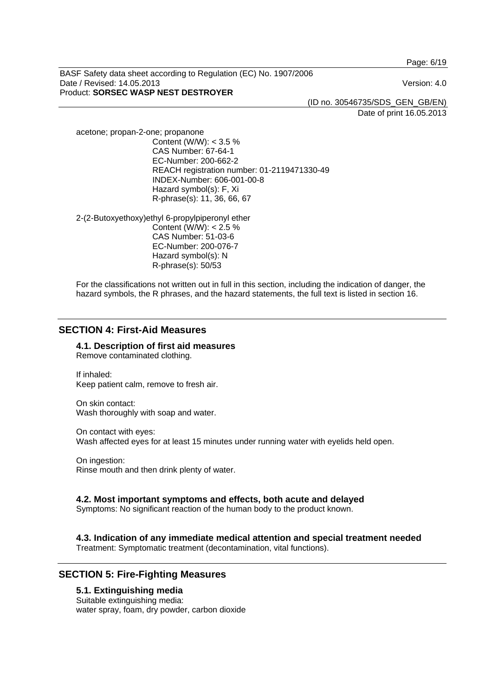Page: 6/19

BASF Safety data sheet according to Regulation (EC) No. 1907/2006 Date / Revised: 14.05.2013 Version: 4.0 Product: **SORSEC WASP NEST DESTROYER** 

(ID no. 30546735/SDS\_GEN\_GB/EN)

Date of print 16.05.2013

acetone; propan-2-one; propanone Content (W/W): < 3.5 % CAS Number: 67-64-1 EC-Number: 200-662-2 REACH registration number: 01-2119471330-49 INDEX-Number: 606-001-00-8 Hazard symbol(s): F, Xi R-phrase(s): 11, 36, 66, 67

2-(2-Butoxyethoxy)ethyl 6-propylpiperonyl ether Content (W/W): < 2.5 % CAS Number: 51-03-6 EC-Number: 200-076-7 Hazard symbol(s): N R-phrase(s): 50/53

For the classifications not written out in full in this section, including the indication of danger, the hazard symbols, the R phrases, and the hazard statements, the full text is listed in section 16.

## **SECTION 4: First-Aid Measures**

**4.1. Description of first aid measures**  Remove contaminated clothing.

If inhaled: Keep patient calm, remove to fresh air.

On skin contact: Wash thoroughly with soap and water.

On contact with eyes: Wash affected eyes for at least 15 minutes under running water with eyelids held open.

On ingestion: Rinse mouth and then drink plenty of water.

#### **4.2. Most important symptoms and effects, both acute and delayed**

Symptoms: No significant reaction of the human body to the product known.

## **4.3. Indication of any immediate medical attention and special treatment needed**

Treatment: Symptomatic treatment (decontamination, vital functions).

## **SECTION 5: Fire-Fighting Measures**

#### **5.1. Extinguishing media**

Suitable extinguishing media: water spray, foam, dry powder, carbon dioxide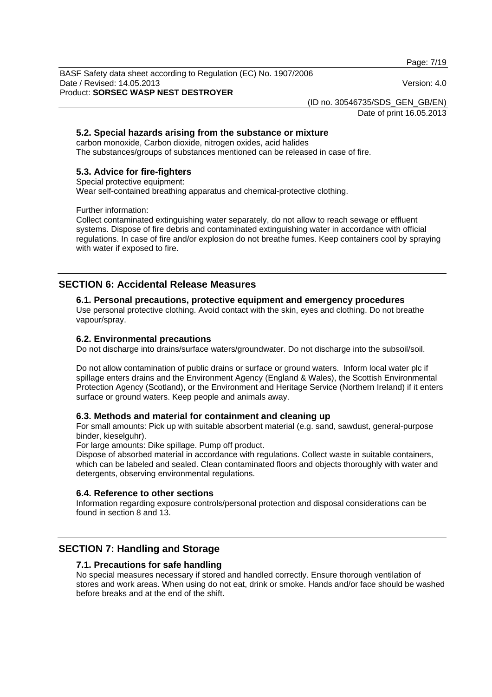Page: 7/19

BASF Safety data sheet according to Regulation (EC) No. 1907/2006 Date / Revised: 14.05.2013 Version: 4.0 Product: **SORSEC WASP NEST DESTROYER** 

(ID no. 30546735/SDS\_GEN\_GB/EN)

Date of print 16.05.2013

## **5.2. Special hazards arising from the substance or mixture**

carbon monoxide, Carbon dioxide, nitrogen oxides, acid halides The substances/groups of substances mentioned can be released in case of fire.

#### **5.3. Advice for fire-fighters**

Special protective equipment:

Wear self-contained breathing apparatus and chemical-protective clothing.

Further information:

Collect contaminated extinguishing water separately, do not allow to reach sewage or effluent systems. Dispose of fire debris and contaminated extinguishing water in accordance with official regulations. In case of fire and/or explosion do not breathe fumes. Keep containers cool by spraying with water if exposed to fire.

## **SECTION 6: Accidental Release Measures**

#### **6.1. Personal precautions, protective equipment and emergency procedures**

Use personal protective clothing. Avoid contact with the skin, eyes and clothing. Do not breathe vapour/spray.

#### **6.2. Environmental precautions**

Do not discharge into drains/surface waters/groundwater. Do not discharge into the subsoil/soil.

Do not allow contamination of public drains or surface or ground waters. Inform local water plc if spillage enters drains and the Environment Agency (England & Wales), the Scottish Environmental Protection Agency (Scotland), or the Environment and Heritage Service (Northern Ireland) if it enters surface or ground waters. Keep people and animals away.

#### **6.3. Methods and material for containment and cleaning up**

For small amounts: Pick up with suitable absorbent material (e.g. sand, sawdust, general-purpose binder, kieselguhr).

For large amounts: Dike spillage. Pump off product.

Dispose of absorbed material in accordance with regulations. Collect waste in suitable containers, which can be labeled and sealed. Clean contaminated floors and objects thoroughly with water and detergents, observing environmental regulations.

#### **6.4. Reference to other sections**

Information regarding exposure controls/personal protection and disposal considerations can be found in section 8 and 13.

## **SECTION 7: Handling and Storage**

#### **7.1. Precautions for safe handling**

No special measures necessary if stored and handled correctly. Ensure thorough ventilation of stores and work areas. When using do not eat, drink or smoke. Hands and/or face should be washed before breaks and at the end of the shift.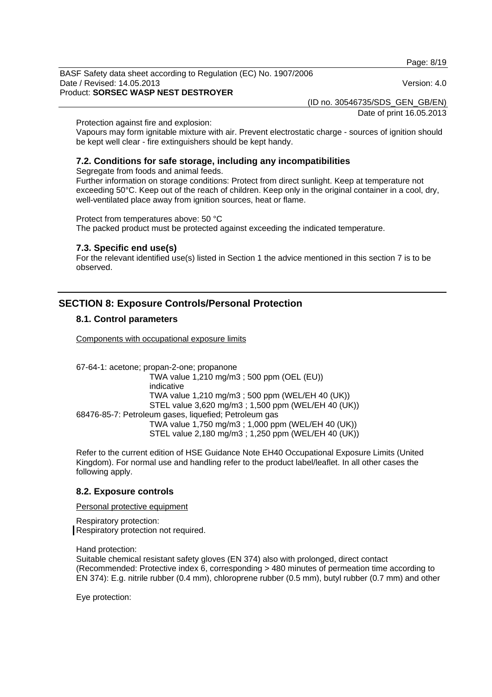Page: 8/19

BASF Safety data sheet according to Regulation (EC) No. 1907/2006 Date / Revised: 14.05.2013 Version: 4.0 Product: **SORSEC WASP NEST DESTROYER** 

(ID no. 30546735/SDS\_GEN\_GB/EN)

Date of print 16.05.2013

Protection against fire and explosion:

Vapours may form ignitable mixture with air. Prevent electrostatic charge - sources of ignition should be kept well clear - fire extinguishers should be kept handy.

## **7.2. Conditions for safe storage, including any incompatibilities**

Segregate from foods and animal feeds.

Further information on storage conditions: Protect from direct sunlight. Keep at temperature not exceeding 50°C. Keep out of the reach of children. Keep only in the original container in a cool, dry, well-ventilated place away from ignition sources, heat or flame.

Protect from temperatures above: 50 °C

The packed product must be protected against exceeding the indicated temperature.

#### **7.3. Specific end use(s)**

For the relevant identified use(s) listed in Section 1 the advice mentioned in this section 7 is to be observed.

## **SECTION 8: Exposure Controls/Personal Protection**

#### **8.1. Control parameters**

Components with occupational exposure limits

67-64-1: acetone; propan-2-one; propanone TWA value 1,210 mg/m3 ; 500 ppm (OEL (EU)) indicative TWA value 1,210 mg/m3 ; 500 ppm (WEL/EH 40 (UK)) STEL value 3,620 mg/m3 ; 1,500 ppm (WEL/EH 40 (UK)) 68476-85-7: Petroleum gases, liquefied; Petroleum gas TWA value 1,750 mg/m3 ; 1,000 ppm (WEL/EH 40 (UK)) STEL value 2,180 mg/m3 ; 1,250 ppm (WEL/EH 40 (UK))

Refer to the current edition of HSE Guidance Note EH40 Occupational Exposure Limits (United Kingdom). For normal use and handling refer to the product label/leaflet. In all other cases the following apply.

#### **8.2. Exposure controls**

Personal protective equipment

Respiratory protection: Respiratory protection not required.

Hand protection:

Suitable chemical resistant safety gloves (EN 374) also with prolonged, direct contact (Recommended: Protective index 6, corresponding > 480 minutes of permeation time according to EN 374): E.g. nitrile rubber (0.4 mm), chloroprene rubber (0.5 mm), butyl rubber (0.7 mm) and other

Eye protection: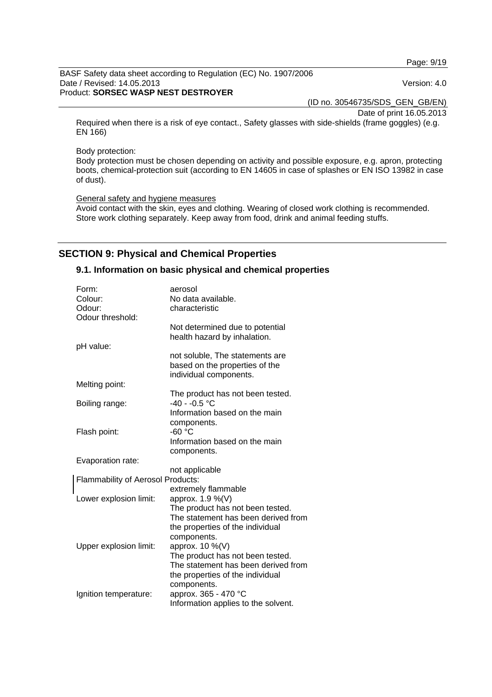Page: 9/19

#### BASF Safety data sheet according to Regulation (EC) No. 1907/2006 Date / Revised: 14.05.2013 Version: 4.0 Product: **SORSEC WASP NEST DESTROYER**

(ID no. 30546735/SDS\_GEN\_GB/EN)

Date of print 16.05.2013

Required when there is a risk of eye contact., Safety glasses with side-shields (frame goggles) (e.g. EN 166)

Body protection:

Body protection must be chosen depending on activity and possible exposure, e.g. apron, protecting boots, chemical-protection suit (according to EN 14605 in case of splashes or EN ISO 13982 in case of dust).

General safety and hygiene measures

Avoid contact with the skin, eyes and clothing. Wearing of closed work clothing is recommended. Store work clothing separately. Keep away from food, drink and animal feeding stuffs.

## **SECTION 9: Physical and Chemical Properties**

#### **9.1. Information on basic physical and chemical properties**

| Form:                             | aerosol                                                                                     |
|-----------------------------------|---------------------------------------------------------------------------------------------|
| Colour:                           | No data available.                                                                          |
| Odour:                            | characteristic                                                                              |
| Odour threshold:                  |                                                                                             |
|                                   | Not determined due to potential<br>health hazard by inhalation.                             |
| pH value:                         |                                                                                             |
|                                   | not soluble, The statements are<br>based on the properties of the<br>individual components. |
| Melting point:                    |                                                                                             |
| Boiling range:                    | The product has not been tested.<br>$-40 - -0.5$ °C                                         |
|                                   | Information based on the main                                                               |
|                                   | components.                                                                                 |
| Flash point:                      | $-60 °C$                                                                                    |
|                                   | Information based on the main                                                               |
|                                   | components.                                                                                 |
| Evaporation rate:                 |                                                                                             |
|                                   | not applicable                                                                              |
| Flammability of Aerosol Products: |                                                                                             |
|                                   | extremely flammable                                                                         |
| Lower explosion limit:            | approx. 1.9 %(V)                                                                            |
|                                   | The product has not been tested.                                                            |
|                                   | The statement has been derived from                                                         |
|                                   | the properties of the individual                                                            |
|                                   | components.                                                                                 |
| Upper explosion limit:            | approx. 10 %(V)                                                                             |
|                                   | The product has not been tested.                                                            |
|                                   | The statement has been derived from                                                         |
|                                   | the properties of the individual                                                            |
|                                   | components.                                                                                 |
| Ignition temperature:             | approx. 365 - 470 °C                                                                        |
|                                   | Information applies to the solvent.                                                         |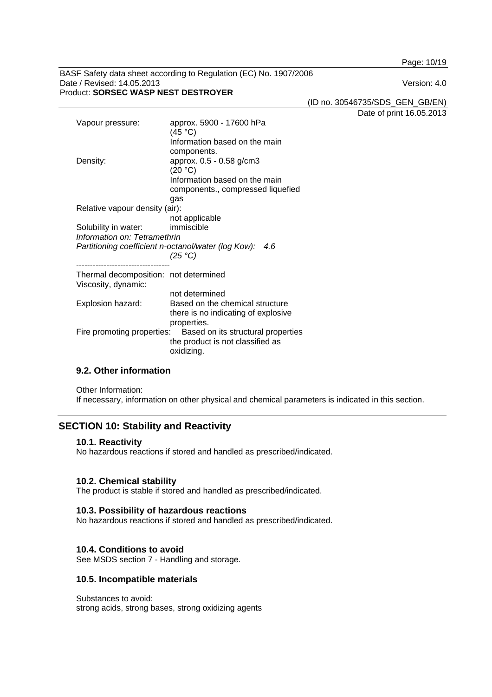Page: 10/19

BASF Safety data sheet according to Regulation (EC) No. 1907/2006 Date / Revised: 14.05.2013 Version: 4.0 Product: **SORSEC WASP NEST DESTROYER** 

(ID no. 30546735/SDS\_GEN\_GB/EN)

Date of print 16.05.2013

| Vapour pressure:                                                                                            | approx. 5900 - 17600 hPa<br>(45 °C)<br>Information based on the main<br>components.                              |
|-------------------------------------------------------------------------------------------------------------|------------------------------------------------------------------------------------------------------------------|
| Density:                                                                                                    | approx. 0.5 - 0.58 g/cm3<br>(20 °C)<br>Information based on the main<br>components., compressed liquefied<br>gas |
| Relative vapour density (air):                                                                              | not applicable                                                                                                   |
| Solubility in water:<br>Information on: Tetramethrin<br>Partitioning coefficient n-octanol/water (log Kow): | immiscible<br>4.6<br>(25 °C)                                                                                     |
| Thermal decomposition: not determined<br>Viscosity, dynamic:                                                |                                                                                                                  |
|                                                                                                             | not determined                                                                                                   |
| Explosion hazard:                                                                                           | Based on the chemical structure<br>there is no indicating of explosive<br>properties.                            |
| Fire promoting properties:                                                                                  | Based on its structural properties<br>the product is not classified as<br>oxidizing.                             |

## **9.2. Other information**

Other Information: If necessary, information on other physical and chemical parameters is indicated in this section.

## **SECTION 10: Stability and Reactivity**

#### **10.1. Reactivity**

No hazardous reactions if stored and handled as prescribed/indicated.

#### **10.2. Chemical stability**

The product is stable if stored and handled as prescribed/indicated.

#### **10.3. Possibility of hazardous reactions**

No hazardous reactions if stored and handled as prescribed/indicated.

#### **10.4. Conditions to avoid**

See MSDS section 7 - Handling and storage.

#### **10.5. Incompatible materials**

Substances to avoid: strong acids, strong bases, strong oxidizing agents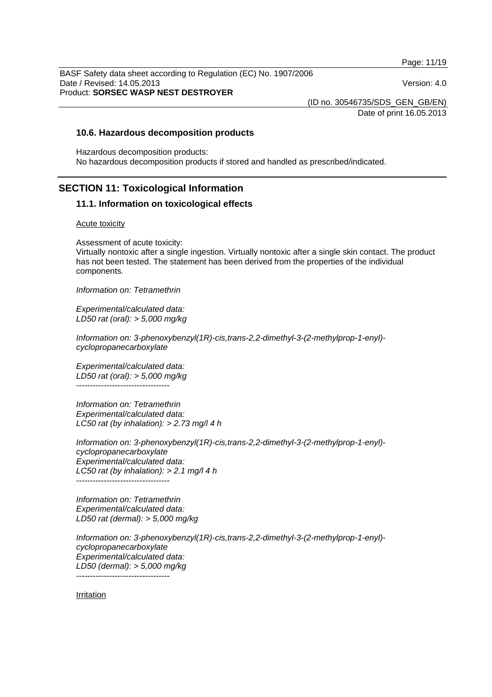Page: 11/19

BASF Safety data sheet according to Regulation (EC) No. 1907/2006 Date / Revised: 14.05.2013 Version: 4.0 Product: **SORSEC WASP NEST DESTROYER** 

(ID no. 30546735/SDS\_GEN\_GB/EN)

Date of print 16.05.2013

#### **10.6. Hazardous decomposition products**

Hazardous decomposition products: No hazardous decomposition products if stored and handled as prescribed/indicated.

## **SECTION 11: Toxicological Information**

#### **11.1. Information on toxicological effects**

#### Acute toxicity

Assessment of acute toxicity:

Virtually nontoxic after a single ingestion. Virtually nontoxic after a single skin contact. The product has not been tested. The statement has been derived from the properties of the individual components.

*Information on: Tetramethrin*

*Experimental/calculated data: LD50 rat (oral): > 5,000 mg/kg* 

*Information on: 3-phenoxybenzyl(1R)-cis,trans-2,2-dimethyl-3-(2-methylprop-1-enyl) cyclopropanecarboxylate*

*Experimental/calculated data: LD50 rat (oral): > 5,000 mg/kg*  ----------------------------------

*Information on: Tetramethrin Experimental/calculated data: LC50 rat (by inhalation): > 2.73 mg/l 4 h* 

*Information on: 3-phenoxybenzyl(1R)-cis,trans-2,2-dimethyl-3-(2-methylprop-1-enyl) cyclopropanecarboxylate Experimental/calculated data: LC50 rat (by inhalation): > 2.1 mg/l 4 h*   $-$ 

*Information on: Tetramethrin Experimental/calculated data: LD50 rat (dermal): > 5,000 mg/kg* 

*Information on: 3-phenoxybenzyl(1R)-cis,trans-2,2-dimethyl-3-(2-methylprop-1-enyl) cyclopropanecarboxylate Experimental/calculated data: LD50 (dermal): > 5,000 mg/kg* 

----------------------------------

Irritation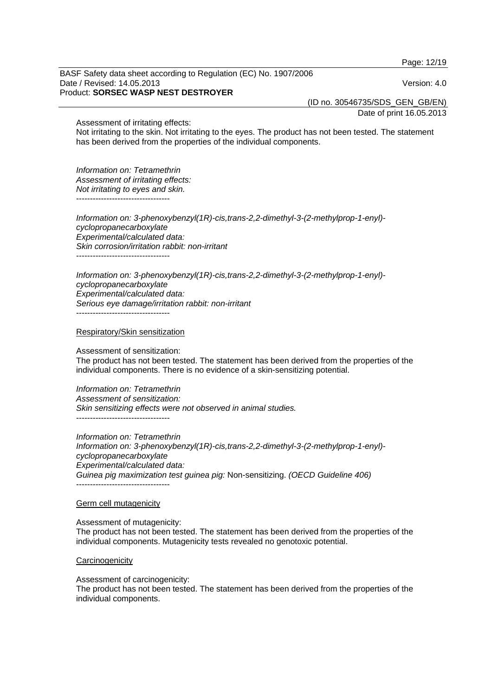Page: 12/19

BASF Safety data sheet according to Regulation (EC) No. 1907/2006 Date / Revised: 14.05.2013 Version: 4.0 Product: **SORSEC WASP NEST DESTROYER** 

(ID no. 30546735/SDS\_GEN\_GB/EN)

Date of print 16.05.2013

Assessment of irritating effects:

Not irritating to the skin. Not irritating to the eyes. The product has not been tested. The statement has been derived from the properties of the individual components.

*Information on: Tetramethrin Assessment of irritating effects: Not irritating to eyes and skin.*  ----------------------------------

*Information on: 3-phenoxybenzyl(1R)-cis,trans-2,2-dimethyl-3-(2-methylprop-1-enyl) cyclopropanecarboxylate Experimental/calculated data: Skin corrosion/irritation rabbit: non-irritant*  ----------------------------------

*Information on: 3-phenoxybenzyl(1R)-cis,trans-2,2-dimethyl-3-(2-methylprop-1-enyl) cyclopropanecarboxylate Experimental/calculated data: Serious eye damage/irritation rabbit: non-irritant*  ----------------------------------

Respiratory/Skin sensitization

Assessment of sensitization:

The product has not been tested. The statement has been derived from the properties of the individual components. There is no evidence of a skin-sensitizing potential.

*Information on: Tetramethrin Assessment of sensitization: Skin sensitizing effects were not observed in animal studies.* 

----------------------------------

*Information on: Tetramethrin Information on: 3-phenoxybenzyl(1R)-cis,trans-2,2-dimethyl-3-(2-methylprop-1-enyl) cyclopropanecarboxylate Experimental/calculated data: Guinea pig maximization test guinea pig:* Non-sensitizing. *(OECD Guideline 406)* ----------------------------------

#### Germ cell mutagenicity

Assessment of mutagenicity: The product has not been tested. The statement has been derived from the properties of the individual components. Mutagenicity tests revealed no genotoxic potential.

#### **Carcinogenicity**

Assessment of carcinogenicity:

The product has not been tested. The statement has been derived from the properties of the individual components.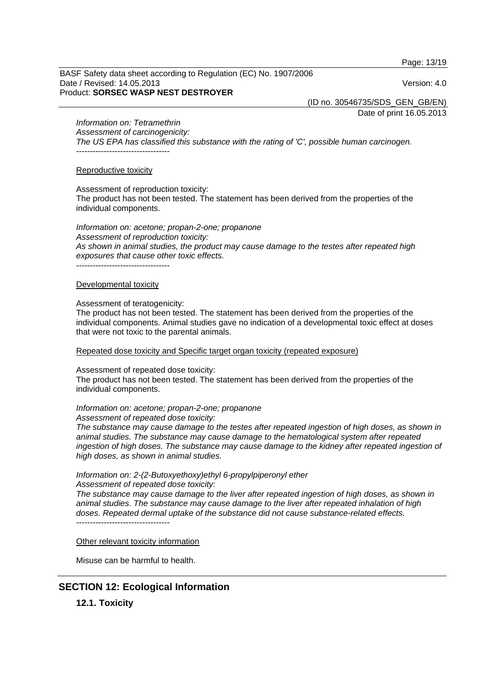Page: 13/19

BASF Safety data sheet according to Regulation (EC) No. 1907/2006 Date / Revised: 14.05.2013 Version: 4.0 Product: **SORSEC WASP NEST DESTROYER** 

(ID no. 30546735/SDS\_GEN\_GB/EN)

Date of print 16.05.2013

*Information on: Tetramethrin*

*Assessment of carcinogenicity: The US EPA has classified this substance with the rating of 'C', possible human carcinogen.*  ----------------------------------

#### Reproductive toxicity

Assessment of reproduction toxicity:

The product has not been tested. The statement has been derived from the properties of the individual components.

*Information on: acetone; propan-2-one; propanone Assessment of reproduction toxicity: As shown in animal studies, the product may cause damage to the testes after repeated high exposures that cause other toxic effects.*  ----------------------------------

Developmental toxicity

#### Assessment of teratogenicity:

The product has not been tested. The statement has been derived from the properties of the individual components. Animal studies gave no indication of a developmental toxic effect at doses that were not toxic to the parental animals.

Repeated dose toxicity and Specific target organ toxicity (repeated exposure)

Assessment of repeated dose toxicity:

The product has not been tested. The statement has been derived from the properties of the individual components.

*Information on: acetone; propan-2-one; propanone* 

*Assessment of repeated dose toxicity:* 

*The substance may cause damage to the testes after repeated ingestion of high doses, as shown in animal studies. The substance may cause damage to the hematological system after repeated*  ingestion of high doses. The substance may cause damage to the kidney after repeated ingestion of *high doses, as shown in animal studies.* 

*Information on: 2-(2-Butoxyethoxy)ethyl 6-propylpiperonyl ether* 

*Assessment of repeated dose toxicity:* 

*The substance may cause damage to the liver after repeated ingestion of high doses, as shown in animal studies. The substance may cause damage to the liver after repeated inhalation of high doses. Repeated dermal uptake of the substance did not cause substance-related effects.*   $-$ 

Other relevant toxicity information

Misuse can be harmful to health.

## **SECTION 12: Ecological Information**

**12.1. Toxicity**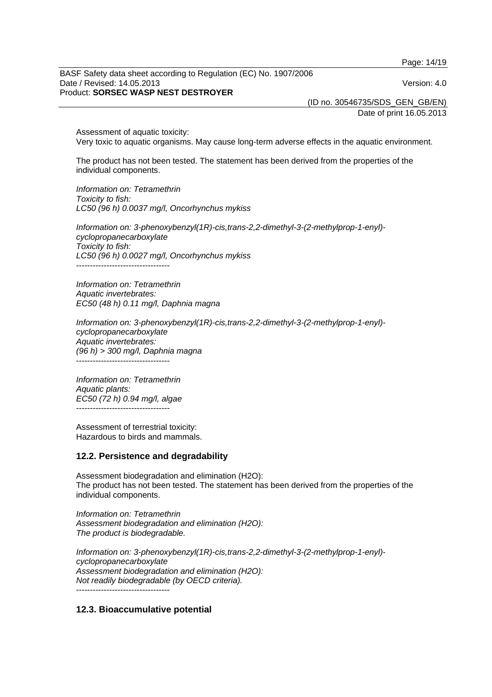Page: 14/19

BASF Safety data sheet according to Regulation (EC) No. 1907/2006 Date / Revised: 14.05.2013 Version: 4.0 Product: **SORSEC WASP NEST DESTROYER** 

(ID no. 30546735/SDS\_GEN\_GB/EN)

Date of print 16.05.2013

Assessment of aquatic toxicity: Very toxic to aquatic organisms. May cause long-term adverse effects in the aquatic environment.

The product has not been tested. The statement has been derived from the properties of the individual components.

*Information on: Tetramethrin Toxicity to fish: LC50 (96 h) 0.0037 mg/l, Oncorhynchus mykiss* 

*Information on: 3-phenoxybenzyl(1R)-cis,trans-2,2-dimethyl-3-(2-methylprop-1-enyl) cyclopropanecarboxylate Toxicity to fish: LC50 (96 h) 0.0027 mg/l, Oncorhynchus mykiss*  ----------------------------------

*Information on: Tetramethrin Aquatic invertebrates: EC50 (48 h) 0.11 mg/l, Daphnia magna* 

*Information on: 3-phenoxybenzyl(1R)-cis,trans-2,2-dimethyl-3-(2-methylprop-1-enyl) cyclopropanecarboxylate Aquatic invertebrates: (96 h) > 300 mg/l, Daphnia magna*  ----------------------------------

*Information on: Tetramethrin Aquatic plants: EC50 (72 h) 0.94 mg/l, algae*  ----------------------------------

Assessment of terrestrial toxicity: Hazardous to birds and mammals.

#### **12.2. Persistence and degradability**

Assessment biodegradation and elimination (H2O): The product has not been tested. The statement has been derived from the properties of the individual components.

*Information on: Tetramethrin Assessment biodegradation and elimination (H2O): The product is biodegradable.* 

*Information on: 3-phenoxybenzyl(1R)-cis,trans-2,2-dimethyl-3-(2-methylprop-1-enyl) cyclopropanecarboxylate Assessment biodegradation and elimination (H2O): Not readily biodegradable (by OECD criteria).*  ----------------------------------

#### **12.3. Bioaccumulative potential**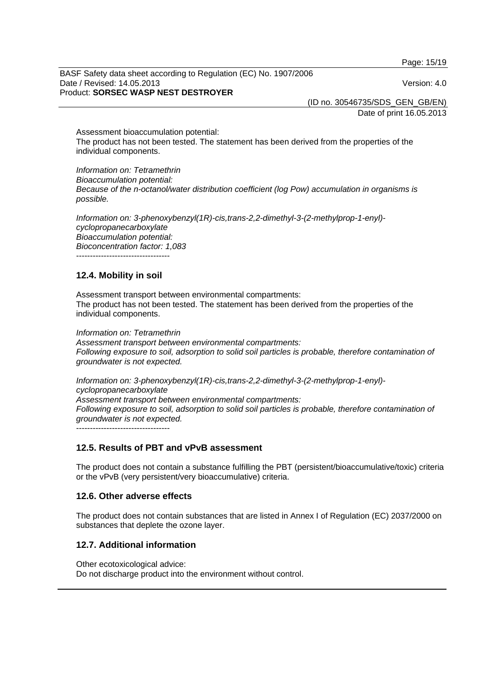Page: 15/19

BASF Safety data sheet according to Regulation (EC) No. 1907/2006 Date / Revised: 14.05.2013 Version: 4.0 Product: **SORSEC WASP NEST DESTROYER** 

(ID no. 30546735/SDS\_GEN\_GB/EN)

Date of print 16.05.2013

Assessment bioaccumulation potential: The product has not been tested. The statement has been derived from the properties of the individual components.

*Information on: Tetramethrin Bioaccumulation potential: Because of the n-octanol/water distribution coefficient (log Pow) accumulation in organisms is possible.* 

*Information on: 3-phenoxybenzyl(1R)-cis,trans-2,2-dimethyl-3-(2-methylprop-1-enyl) cyclopropanecarboxylate Bioaccumulation potential: Bioconcentration factor: 1,083* 

----------------------------------

#### **12.4. Mobility in soil**

Assessment transport between environmental compartments: The product has not been tested. The statement has been derived from the properties of the individual components.

*Information on: Tetramethrin Assessment transport between environmental compartments: Following exposure to soil, adsorption to solid soil particles is probable, therefore contamination of groundwater is not expected.*

*Information on: 3-phenoxybenzyl(1R)-cis,trans-2,2-dimethyl-3-(2-methylprop-1-enyl) cyclopropanecarboxylate Assessment transport between environmental compartments: Following exposure to soil, adsorption to solid soil particles is probable, therefore contamination of groundwater is not expected.* ----------------------------------

## **12.5. Results of PBT and vPvB assessment**

The product does not contain a substance fulfilling the PBT (persistent/bioaccumulative/toxic) criteria or the vPvB (very persistent/very bioaccumulative) criteria.

#### **12.6. Other adverse effects**

The product does not contain substances that are listed in Annex I of Regulation (EC) 2037/2000 on substances that deplete the ozone layer.

## **12.7. Additional information**

Other ecotoxicological advice: Do not discharge product into the environment without control.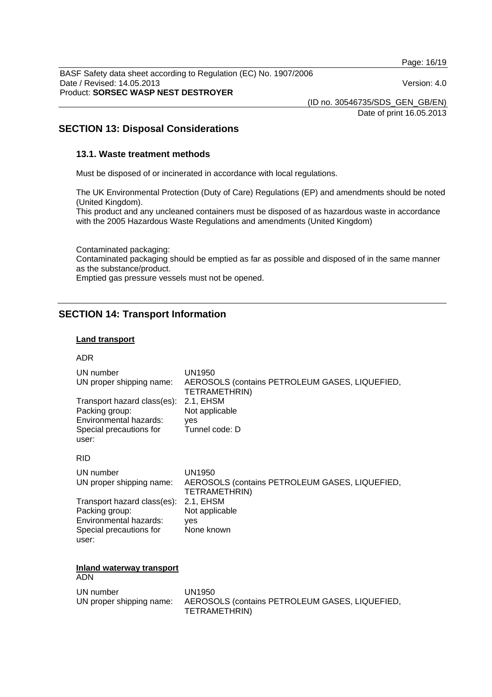Page: 16/19

BASF Safety data sheet according to Regulation (EC) No. 1907/2006 Date / Revised: 14.05.2013 Version: 4.0 Product: **SORSEC WASP NEST DESTROYER** 

(ID no. 30546735/SDS\_GEN\_GB/EN)

Date of print 16.05.2013

## **SECTION 13: Disposal Considerations**

#### **13.1. Waste treatment methods**

Must be disposed of or incinerated in accordance with local regulations.

The UK Environmental Protection (Duty of Care) Regulations (EP) and amendments should be noted (United Kingdom).

This product and any uncleaned containers must be disposed of as hazardous waste in accordance with the 2005 Hazardous Waste Regulations and amendments (United Kingdom)

Contaminated packaging: Contaminated packaging should be emptied as far as possible and disposed of in the same manner as the substance/product. Emptied gas pressure vessels must not be opened.

## **SECTION 14: Transport Information**

#### **Land transport**

#### ADR

| UN number                                                       | UN1950                                         |
|-----------------------------------------------------------------|------------------------------------------------|
| UN proper shipping name:                                        | AEROSOLS (contains PETROLEUM GASES, LIQUEFIED, |
| Transport hazard class(es):                                     | TETRAMETHRIN)                                  |
| Packing group:                                                  | 2.1, EHSM                                      |
| Environmental hazards:                                          | Not applicable                                 |
| Special precautions for                                         | yes                                            |
| user:                                                           | Tunnel code: D                                 |
| <b>RID</b>                                                      |                                                |
| UN number                                                       | UN1950                                         |
| UN proper shipping name:                                        | AEROSOLS (contains PETROLEUM GASES, LIQUEFIED, |
| Transport hazard class(es):                                     | TETRAMETHRIN)                                  |
| Packing group:                                                  | 2.1, EHSM                                      |
| Environmental hazards:                                          | Not applicable                                 |
| Special precautions for                                         | yes                                            |
| user:                                                           | None known                                     |
| <b>Inland waterway transport</b><br>$\sim$ $\sim$ $\sim$ $\sim$ |                                                |

## ADN

UN number UN1950 UN proper shipping name: AEROSOLS (contains PETROLEUM GASES, LIQUEFIED, TETRAMETHRIN)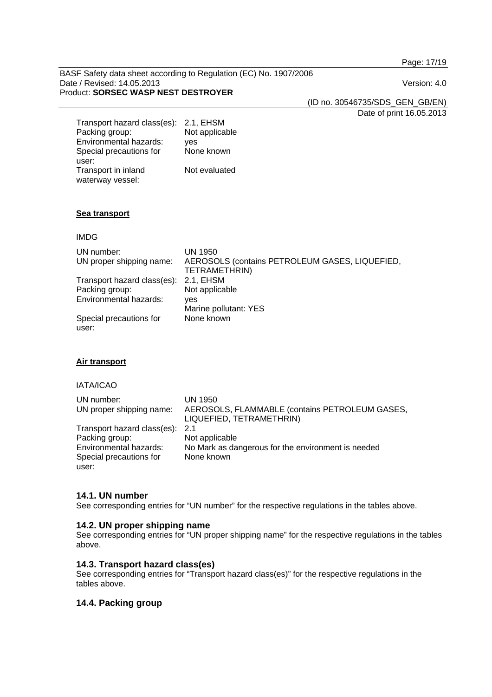Page: 17/19

BASF Safety data sheet according to Regulation (EC) No. 1907/2006 Date / Revised: 14.05.2013 Version: 4.0 Product: **SORSEC WASP NEST DESTROYER** 

(ID no. 30546735/SDS\_GEN\_GB/EN)

Date of print 16.05.2013

| Transport hazard class(es): | 2.1, EHSM      |
|-----------------------------|----------------|
| Packing group:              | Not applicable |
| Environmental hazards:      | ves            |
| Special precautions for     | None known     |
| user:                       |                |
| Transport in inland         | Not evaluated  |
| waterway vessel:            |                |

#### **Sea transport**

#### IMDG

| UN number:<br>UN proper shipping name: | UN 1950<br>AEROSOLS (contains PETROLEUM GASES, LIQUEFIED,<br>TETRAMETHRIN) |
|----------------------------------------|----------------------------------------------------------------------------|
| Transport hazard class(es):            | 2.1. EHSM                                                                  |
| Packing group:                         | Not applicable                                                             |
| Environmental hazards:                 | ves                                                                        |
|                                        | Marine pollutant: YES                                                      |
| Special precautions for<br>user:       | None known                                                                 |

#### **Air transport**

#### IATA/ICAO

| UN number:<br>UN proper shipping name: | UN 1950<br>AEROSOLS, FLAMMABLE (contains PETROLEUM GASES, |
|----------------------------------------|-----------------------------------------------------------|
|                                        | LIQUEFIED, TETRAMETHRIN)                                  |
| Transport hazard class(es): 2.1        |                                                           |
| Packing group:                         | Not applicable                                            |
| Environmental hazards:                 | No Mark as dangerous for the environment is needed        |
| Special precautions for                | None known                                                |
| user:                                  |                                                           |

#### **14.1. UN number**

See corresponding entries for "UN number" for the respective regulations in the tables above.

#### **14.2. UN proper shipping name**

See corresponding entries for "UN proper shipping name" for the respective regulations in the tables above.

## **14.3. Transport hazard class(es)**

See corresponding entries for "Transport hazard class(es)" for the respective regulations in the tables above.

## **14.4. Packing group**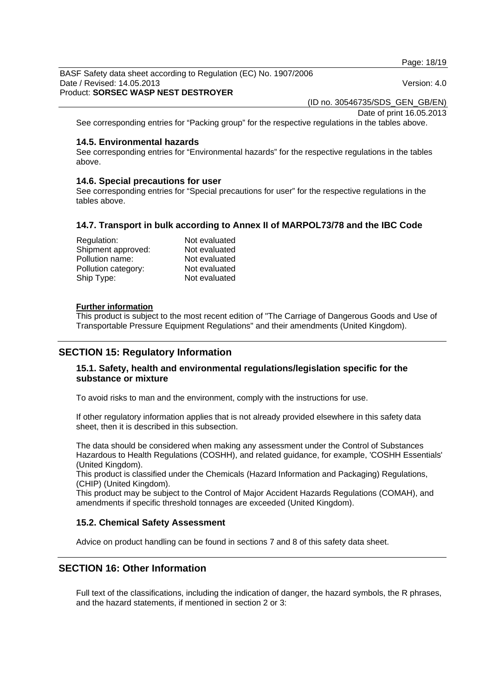Page: 18/19

BASF Safety data sheet according to Regulation (EC) No. 1907/2006 Date / Revised: 14.05.2013 Version: 4.0 Product: **SORSEC WASP NEST DESTROYER** 

(ID no. 30546735/SDS\_GEN\_GB/EN)

Date of print 16.05.2013

See corresponding entries for "Packing group" for the respective regulations in the tables above.

#### **14.5. Environmental hazards**

See corresponding entries for "Environmental hazards" for the respective regulations in the tables above.

#### **14.6. Special precautions for user**

See corresponding entries for "Special precautions for user" for the respective regulations in the tables above.

#### **14.7. Transport in bulk according to Annex II of MARPOL73/78 and the IBC Code**

| Regulation:         | Not evaluated |
|---------------------|---------------|
| Shipment approved:  | Not evaluated |
| Pollution name:     | Not evaluated |
| Pollution category: | Not evaluated |
| Ship Type:          | Not evaluated |

#### **Further information**

This product is subject to the most recent edition of "The Carriage of Dangerous Goods and Use of Transportable Pressure Equipment Regulations" and their amendments (United Kingdom).

## **SECTION 15: Regulatory Information**

## **15.1. Safety, health and environmental regulations/legislation specific for the substance or mixture**

To avoid risks to man and the environment, comply with the instructions for use.

If other regulatory information applies that is not already provided elsewhere in this safety data sheet, then it is described in this subsection.

The data should be considered when making any assessment under the Control of Substances Hazardous to Health Regulations (COSHH), and related guidance, for example, 'COSHH Essentials' (United Kingdom).

This product is classified under the Chemicals (Hazard Information and Packaging) Regulations, (CHIP) (United Kingdom).

This product may be subject to the Control of Major Accident Hazards Regulations (COMAH), and amendments if specific threshold tonnages are exceeded (United Kingdom).

#### **15.2. Chemical Safety Assessment**

Advice on product handling can be found in sections 7 and 8 of this safety data sheet.

## **SECTION 16: Other Information**

Full text of the classifications, including the indication of danger, the hazard symbols, the R phrases, and the hazard statements, if mentioned in section 2 or 3: